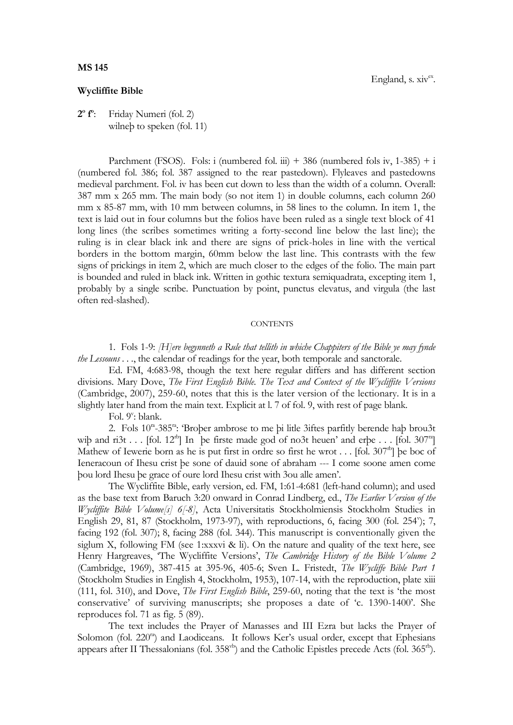## **MS 145**

## **Wycliffite Bible**

**2 o f o** : Friday Numeri (fol. 2) wilneb to speken (fol. 11)

Parchment (FSOS). Fols: i (numbered fol. iii)  $+386$  (numbered fols iv, 1-385)  $+ i$ (numbered fol. 386; fol. 387 assigned to the rear pastedown). Flyleaves and pastedowns medieval parchment. Fol. iv has been cut down to less than the width of a column. Overall: 387 mm x 265 mm. The main body (so not item 1) in double columns, each column 260 mm x 85-87 mm, with 10 mm between columns, in 58 lines to the column. In item 1, the text is laid out in four columns but the folios have been ruled as a single text block of 41 long lines (the scribes sometimes writing a forty-second line below the last line); the ruling is in clear black ink and there are signs of prick-holes in line with the vertical borders in the bottom margin, 60mm below the last line. This contrasts with the few signs of prickings in item 2, which are much closer to the edges of the folio. The main part is bounded and ruled in black ink. Written in gothic textura semiquadrata, excepting item 1, probably by a single scribe. Punctuation by point, punctus elevatus, and virgula (the last often red-slashed).

## **CONTENTS**

1. Fols 1-9: *[H]ere begynneth a Rule that tellith in whiche Chappiters of the Bible ye may fynde the Lessouns . . .*, the calendar of readings for the year, both temporale and sanctorale.

Ed. FM, 4:683-98, though the text here regular differs and has different section divisions. Mary Dove, *The First English Bible. The Text and Context of the Wycliffite Versions*  (Cambridge, 2007), 259-60, notes that this is the later version of the lectionary. It is in a slightly later hand from the main text. Explicit at l. 7 of fol. 9, with rest of page blank.

Fol. 9<sup>v</sup>: blank.

2. Fols 10<sup>m</sup>-385<sup>m</sup>: 'Broþer ambrose to me þi litle 3iftes parfitly berende haþ brou3t wiþ and ri $3t$  . . . [fol. 12<sup>th</sup>] In be firste made god of no3t heuen' and erbe . . . [fol. 307<sup>th</sup>] Mathew of Iewerie born as he is put first in ordre so first he wrot . . . [fol.  $307<sup>tb</sup>$ ] be boc of Ieneracoun of Ihesu crist þe sone of dauid sone of abraham --- I come soone amen come þou lord Ihesu þe grace of oure lord Ihesu crist with 3ou alle amen'.

The Wycliffite Bible, early version, ed. FM, 1:61-4:681 (left-hand column); and used as the base text from Baruch 3:20 onward in Conrad Lindberg, ed., *The Earlier Version of the Wycliffite Bible Volume[s] 6[-8]*, Acta Universitatis Stockholmiensis Stockholm Studies in English 29, 81, 87 (Stockholm, 1973-97), with reproductions, 6, facing 300 (fol. 254"); 7, facing 192 (fol. 307); 8, facing 288 (fol. 344). This manuscript is conventionally given the siglum X, following FM (see 1:xxxvi & li). On the nature and quality of the text here, see Henry Hargreaves, 'The Wycliffite Versions', *The Cambridge History of the Bible Volume 2* (Cambridge, 1969), 387-415 at 395-96, 405-6; Sven L. Fristedt, *The Wycliffe Bible Part 1* (Stockholm Studies in English 4, Stockholm, 1953), 107-14, with the reproduction, plate xiii (111, fol. 310), and Dove, *The First English Bible*, 259-60, noting that the text is 'the most conservative' of surviving manuscripts; she proposes a date of 'c. 1390-1400'. She reproduces fol. 71 as fig. 5 (89).

The text includes the Prayer of Manasses and III Ezra but lacks the Prayer of Solomon (fol. 220<sup>ra</sup>) and Laodiceans. It follows Ker's usual order, except that Ephesians appears after II Thessalonians (fol.  $358<sup>vb</sup>$ ) and the Catholic Epistles precede Acts (fol.  $365<sup>rb</sup>$ ).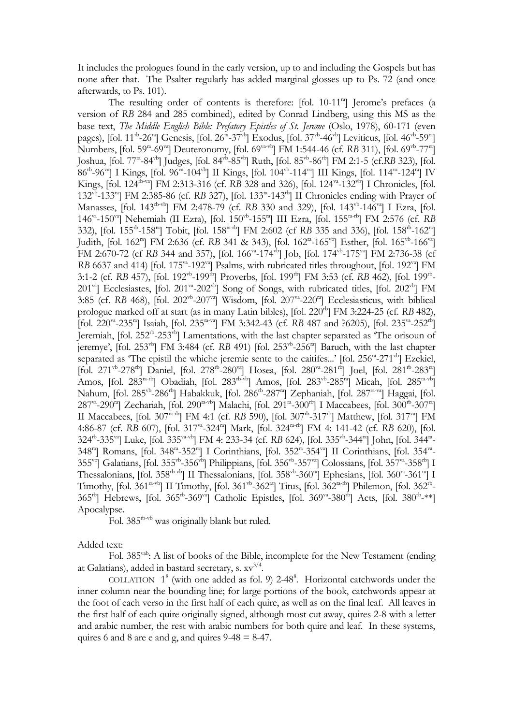It includes the prologues found in the early version, up to and including the Gospels but has none after that. The Psalter regularly has added marginal glosses up to Ps. 72 (and once afterwards, to Ps. 101).

The resulting order of contents is therefore:  $[fol. 10-11<sup>ra</sup>]$  Jerome's prefaces (a version of *RB* 284 and 285 combined), edited by Conrad Lindberg, using this MS as the base text, *The Middle English Bible: Prefatory Epistles of St. Jerome* (Oslo, 1978), 60-171 (even pages), [fol. 11<sup>th</sup>-26<sup>ra</sup>] Genesis, [fol. 26<sup>ra</sup>-37<sup>vb</sup>] Exodus, [fol. 37<sup>vb</sup>-46<sup>vb</sup>] Leviticus, [fol. 46<sup>vb</sup>-59<sup>ra</sup>] Numbers, [fol. 59<sup>ra</sup>-69<sup>va</sup>] Deuteronomy, [fol. 69<sup>va-vb</sup>] FM 1:544-46 (cf. *RB* 311), [fol. 69<sup>vb</sup>-77<sup>ra</sup>] Joshua, [fol. 77ra -84vb] Judges, [fol. 84vb -85vb] Ruth, [fol. 85vb -86rb] FM 2:1-5 (cf.*RB* 323), [fol. 86<sup>rb</sup>-96<sup>va</sup>] I Kings, [fol. 96<sup>va</sup>-104<sup>vb</sup>] II Kings, [fol. 104<sup>vb</sup>-114<sup>va</sup>] III Kings, [fol. 114<sup>va</sup>-124<sup>ra</sup>] IV Kings, [fol. 124<sup>th-va</sup>] FM 2:313-316 (cf. RB 328 and 326), [fol. 124<sup>va</sup>-132<sup>vb</sup>] I Chronicles, [fol. 132<sup>vb</sup>-133<sup>ra</sup>] FM 2:385-86 (cf. RB 327), [fol. 133<sup>ra</sup>-143<sup>rb</sup>] II Chronicles ending with Prayer of Manasses, [fol. 143<sup>rb-vb</sup>] FM 2:478-79 (cf. RB 330 and 329), [fol. 143<sup>vb</sup>-146<sup>va</sup>] I Ezra, [fol. 146<sup>va</sup>-150<sup>va</sup>] Nehemiah (II Ezra), [fol. 150<sup>vb</sup>-155<sup>ra</sup>] III Ezra, [fol. 155<sup>ra-rb</sup>] FM 2:576 (cf. *RB* 332), [fol. 155<sup>tb</sup>-158<sup>ta</sup>] Tobit, [fol. 158<sup>ta-tb</sup>] FM 2:602 (cf RB 335 and 336), [fol. 158<sup>tb</sup>-162<sup>ta</sup>] Judith, [fol. 162<sup>ra</sup>] FM 2:636 (cf. RB 341 & 343), [fol. 162<sup>ra</sup>-165<sup>vb</sup>] Esther, [fol. 165<sup>vb</sup>-166<sup>va</sup>] FM 2:670-72 (cf RB 344 and 357), [fol. 166<sup>va</sup>-174<sup>vb</sup>] Job, [fol. 174<sup>vb</sup>-175<sup>va</sup>] FM 2:736-38 (cf RB 6637 and 414) [fol. 175<sup>va</sup>-192<sup>va</sup>] Psalms, with rubricated titles throughout, [fol. 192<sup>va</sup>] FM 3:1-2 (cf. *RB* 457), [fol. 192<sup>vb</sup>-199<sup>rb</sup>] Proverbs, [fol. 199<sup>rb</sup>] FM 3:53 (cf. *RB* 462), [fol. 199<sup>rb</sup>-201<sup>va</sup>] Ecclesiastes, [fol. 201<sup>va</sup>-202<sup>vb</sup>] Song of Songs, with rubricated titles, [fol. 202<sup>vb</sup>] FM 3:85 (cf. RB 468), [fol. 202<sup>vb</sup>-207<sup>va</sup>] Wisdom, [fol. 207<sup>va</sup>-220<sup>ra</sup>] Ecclesiasticus, with biblical prologue marked off at start (as in many Latin bibles), [fol. 220<sup>th</sup>] FM 3:224-25 (cf. *RB* 482), [fol. 220<sup>va</sup>-235<sup>ra</sup>] Isaiah, [fol. 235<sup>ra-va</sup>] FM 3:342-43 (cf. *RB 487 and ?6205)*, [fol. 235<sup>va</sup>-252<sup>rb</sup>] Jeremiah, [fol. 252<sup>rb</sup>-253<sup>vb</sup>] Lamentations, with the last chapter separated as 'The orisoun of jeremye', [fol. 253<sup>vb</sup>] FM 3:484 (cf. RB 491) [fol. 253<sup>vb</sup>-256<sup>m</sup>] Baruch, with the last chapter separated as 'The epistil the whiche jeremie sente to the caitifes...' [fol. 256<sup>n</sup>-271<sup>vb</sup>] Ezekiel, [fol. 271<sup>vb</sup>-278<sup>th</sup>] Daniel, [fol. 278<sup>tb</sup>-280<sup>va</sup>] Hosea, [fol. 280<sup>va</sup>-281<sup>th</sup>] Joel, [fol. 281<sup>tb</sup>-283<sup>ra</sup>] Amos, [fol. 283<sup>ra-rb</sup>] Obadiah, [fol. 283<sup>rb-vb</sup>] Amos, [fol. 283<sup>vb</sup>-285<sup>ra</sup>] Micah, [fol. 285<sup>ra-vb</sup>] Nahum, [fol. 285<sup>vb</sup>-286<sup>tb</sup>] Habakkuk, [fol. 286<sup>tb</sup>-287<sup>ra</sup>] Zephaniah, [fol. 287<sup>ra-va</sup>] Haggai, [fol. 287<sup>va</sup>-290<sup>ra</sup>] Zechariah, [fol. 290<sup>ra-vb</sup>] Malachi, [fol. 291<sup>ra</sup>-300<sup>rb</sup>] I Maccabees, [fol. 300<sup>rb</sup>-307<sup>ra</sup>] II Maccabees, [fol. 307<sup>ra-rb</sup>] FM 4:1 (cf. RB 590), [fol. 307<sup>rb</sup>-317<sup>rb</sup>] Matthew, [fol. 317<sup>va</sup>] FM 4:86-87 (cf. *RB* 607), [fol. 317<sup>va</sup>-324<sup>ra</sup>] Mark, [fol. 324<sup>ra-rb</sup>] FM 4: 141-42 (cf. *RB* 620), [fol. 324<sup>tb</sup>-335<sup>va</sup>] Luke, [fol. 335<sup>va-vb</sup>] FM 4: 233-34 (cf. *RB* 624), [fol. 335<sup>vb</sup>-344<sup>m</sup>] John, [fol. 344<sup>m</sup>-348<sup>ra</sup>] Romans, [fol. 348<sup>ra</sup>-352<sup>ra</sup>] I Corinthians, [fol. 352<sup>ra</sup>-354<sup>va</sup>] II Corinthians, [fol. 354<sup>va</sup>-355<sup>vb</sup>] Galatians, [fol. 355<sup>vb</sup>-356<sup>vb</sup>] Philippians, [fol. 356<sup>vb</sup>-357<sup>va</sup>] Colossians, [fol. 357<sup>va</sup>-358<sup>rb</sup>] I Thessalonians, [fol. 358<sup>rb-vb</sup>] II Thessalonians, [fol. 358<sup>vb</sup>-360<sup>ra</sup>] Ephesians, [fol. 360<sup>ra</sup>-361<sup>ra</sup>] I Timothy, [fol. 361<sup>ra-vb</sup>] II Timothy, [fol. 361<sup>vb</sup>-362<sup>ra</sup>] Titus, [fol. 362<sup>ra-rb</sup>] Philemon, [fol. 362<sup>rb</sup>-365<sup>rb</sup>] Hebrews, [fol. 365<sup>rb</sup>-369<sup>va</sup>] Catholic Epistles, [fol. 369<sup>va</sup>-380<sup>rb</sup>] Acts, [fol. 380<sup>rb</sup>-\*\*] Apocalypse.

Fol. 385<sup>th-vb</sup> was originally blank but ruled.

Added text:

Fol. 385<sup>vab</sup>: A list of books of the Bible, incomplete for the New Testament (ending at Galatians), added in bastard secretary, s.  $\text{xv}^{3/4}$ .

COLLATION  $1^8$  (with one added as fol. 9) 2-48<sup>8</sup>. Horizontal catchwords under the inner column near the bounding line; for large portions of the book, catchwords appear at the foot of each verso in the first half of each quire, as well as on the final leaf. All leaves in the first half of each quire originally signed, although most cut away, quires 2-8 with a letter and arabic number, the rest with arabic numbers for both quire and leaf. In these systems, quires 6 and 8 are e and g, and quires  $9-48 = 8-47$ .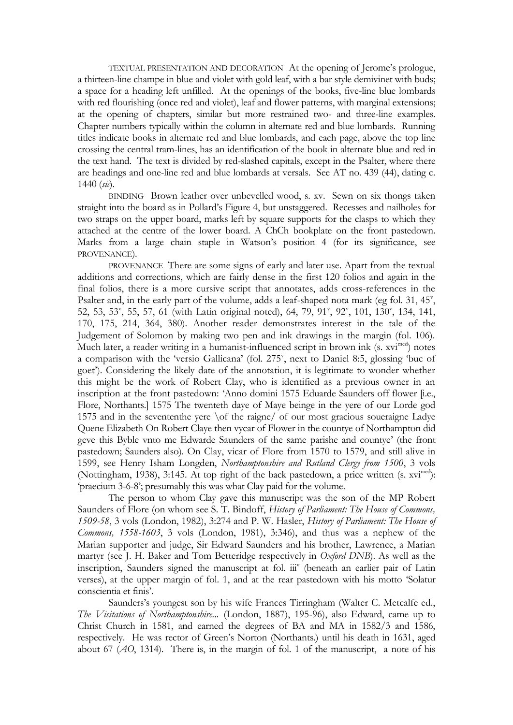TEXTUAL PRESENTATION AND DECORATION At the opening of Jerome's prologue, a thirteen-line champe in blue and violet with gold leaf, with a bar style demivinet with buds; a space for a heading left unfilled. At the openings of the books, five-line blue lombards with red flourishing (once red and violet), leaf and flower patterns, with marginal extensions; at the opening of chapters, similar but more restrained two- and three-line examples. Chapter numbers typically within the column in alternate red and blue lombards. Running titles indicate books in alternate red and blue lombards, and each page, above the top line crossing the central tram-lines, has an identification of the book in alternate blue and red in the text hand. The text is divided by red-slashed capitals, except in the Psalter, where there are headings and one-line red and blue lombards at versals. See AT no. 439 (44), dating c. 1440 (*sic*).

BINDING Brown leather over unbevelled wood, s. xv. Sewn on six thongs taken straight into the board as in Pollard's Figure 4, but unstaggered. Recesses and nailholes for two straps on the upper board, marks left by square supports for the clasps to which they attached at the centre of the lower board. A ChCh bookplate on the front pastedown. Marks from a large chain staple in Watson's position 4 (for its significance, see PROVENANCE).

PROVENANCE There are some signs of early and later use. Apart from the textual additions and corrections, which are fairly dense in the first 120 folios and again in the final folios, there is a more cursive script that annotates, adds cross-references in the Psalter and, in the early part of the volume, adds a leaf-shaped nota mark (eg fol.  $31, 45^{\circ}$ , 52, 53, 53<sup>v</sup>, 55, 57, 61 (with Latin original noted), 64, 79, 91<sup>v</sup>, 92<sup>v</sup>, 101, 130<sup>v</sup>, 134, 141, 170, 175, 214, 364, 380). Another reader demonstrates interest in the tale of the Judgement of Solomon by making two pen and ink drawings in the margin (fol. 106). Much later, a reader writing in a humanist-influenced script in brown ink (s. xvi<sup>med</sup>) notes a comparison with the 'versio Gallicana' (fol. 275', next to Daniel 8:5, glossing 'buc of goet'). Considering the likely date of the annotation, it is legitimate to wonder whether this might be the work of Robert Clay, who is identified as a previous owner in an inscription at the front pastedown: 'Anno domini 1575 Eduarde Saunders off flower [i.e., Flore, Northants.] 1575 The twenteth daye of Maye beinge in the yere of our Lorde god 1575 and in the sevententhe yere \of the raigne/ of our most gracious soueraigne Ladye Quene Elizabeth On Robert Claye then vycar of Flower in the countye of Northampton did geve this Byble vnto me Edwarde Saunders of the same parishe and countye' (the front pastedown; Saunders also). On Clay, vicar of Flore from 1570 to 1579, and still alive in 1599, see Henry Isham Longden, *Northamptonshire and Rutland Clergy from 1500*, 3 vols (Nottingham, 1938), 3:145. At top right of the back pastedown, a price written (s. xvi<sup>med</sup>): 'praecium 3-6-8'; presumably this was what Clay paid for the volume.

The person to whom Clay gave this manuscript was the son of the MP Robert Saunders of Flore (on whom see S. T. Bindoff, *History of Parliament: The House of Commons, 1509-58*, 3 vols (London, 1982), 3:274 and P. W. Hasler, *History of Parliament: The House of Commons, 1558-1603*, 3 vols (London, 1981), 3:346), and thus was a nephew of the Marian supporter and judge, Sir Edward Saunders and his brother, Lawrence, a Marian martyr (see J. H. Baker and Tom Betteridge respectively in *Oxford DNB*). As well as the inscription, Saunders signed the manuscript at fol. iii' (beneath an earlier pair of Latin verses), at the upper margin of fol. 1, and at the rear pastedown with his motto 'Solatur conscientia et finis'.

Saunders's youngest son by his wife Frances Tirringham (Walter C. Metcalfe ed., *The Visitations of Northamptonshire...* (London, 1887), 195-96), also Edward, came up to Christ Church in 1581, and earned the degrees of BA and MA in 1582/3 and 1586, respectively. He was rector of Green's Norton (Northants.) until his death in 1631, aged about 67 (*AO*, 1314). There is, in the margin of fol. 1 of the manuscript, a note of his